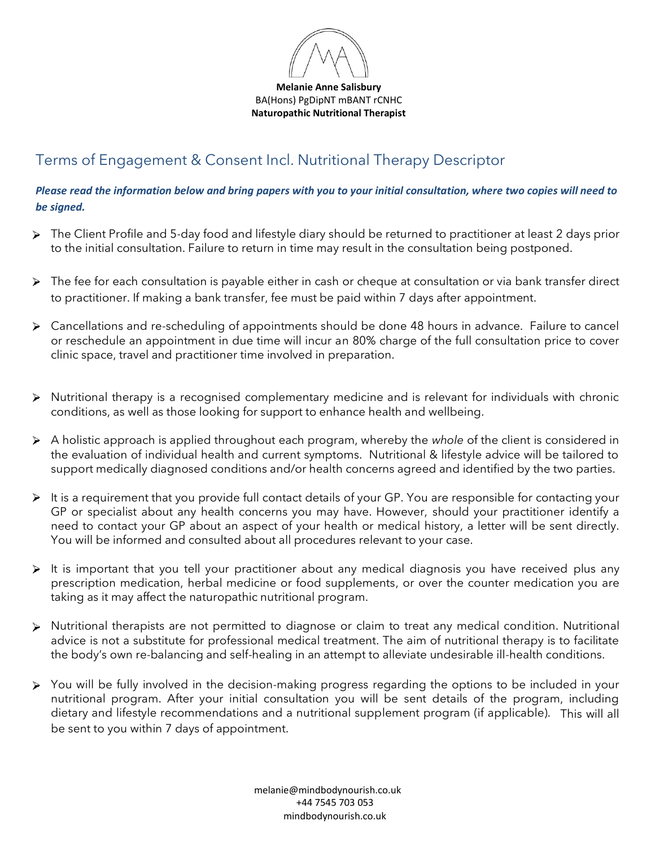

**Melanie Anne Salisbury** BA(Hons) PgDipNT mBANT rCNHC **Naturopathic Nutritional Therapist**

## Terms of Engagement & Consent Incl. Nutritional Therapy Descriptor

*Please read the information below and bring papers with you to your initial consultation, where two copies will need to be signed.* 

- > The Client Profile and 5-day food and lifestyle diary should be returned to practitioner at least 2 days prior to the initial consultation. Failure to return in time may result in the consultation being postponed.
- > The fee for each consultation is payable either in cash or cheque at consultation or via bank transfer direct to practitioner. If making a bank transfer, fee must be paid within 7 days after appointment.
- Cancellations and re-scheduling of appointments should be done 48 hours in advance. Failure to cancel or reschedule an appointment in due time will incur an 80% charge of the full consultation price to cover clinic space, travel and practitioner time involved in preparation.
- Nutritional therapy is a recognised complementary medicine and is relevant for individuals with chronic conditions, as well as those looking for support to enhance health and wellbeing.
- A holistic approach is applied throughout each program, whereby the *whole* of the client is considered in the evaluation of individual health and current symptoms. Nutritional & lifestyle advice will be tailored to support medically diagnosed conditions and/or health concerns agreed and identified by the two parties.
- It is a requirement that you provide full contact details of your GP. You are responsible for contacting your GP or specialist about any health concerns you may have. However, should your practitioner identify a need to contact your GP about an aspect of your health or medical history, a letter will be sent directly. You will be informed and consulted about all procedures relevant to your case.
- $\triangleright$  It is important that you tell your practitioner about any medical diagnosis you have received plus any prescription medication, herbal medicine or food supplements, or over the counter medication you are taking as it may affect the naturopathic nutritional program.
- Nutritional therapists are not permitted to diagnose or claim to treat any medical condition. Nutritional advice is not a substitute for professional medical treatment. The aim of nutritional therapy is to facilitate the body's own re-balancing and self-healing in an attempt to alleviate undesirable ill-health conditions.
- You will be fully involved in the decision-making progress regarding the options to be included in your nutritional program. After your initial consultation you will be sent details of the program, including dietary and lifestyle recommendations and a nutritional supplement program (if applicable). This will all be sent to you within 7 days of appointment.

 melanie@mindbodynourish.co.uk +44 7545 703 053 mindbodynourish.co.uk